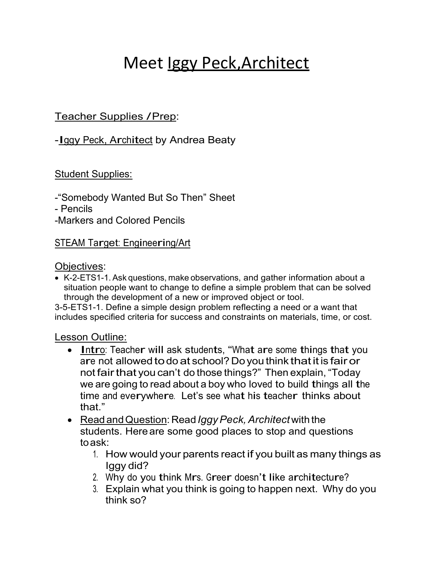# Meet <u>Iggy Peck, Architect</u>

## Teacher Supplies / Prep:

## -Iggy Peck, Architect by Andrea Beaty

#### Student Supplies:

-"Somebody Wanted But So Then" Sheet

- Pencils

-Markers and Colored Pencils

### STEAM Target: Engineering/Art

#### Objectives:

 K-2-ETS1-1. Ask questions, make observations, and gather information about a situation people want to change to define a simple problem that can be solved through the development of a new or improved object or tool.

3-5-ETS1-1. Define a simple design problem reflecting a need or a want that includes specified criteria for success and constraints on materials, time, or cost.

#### Lesson Outline:

- Intro: Teacher will ask students, "What are some things that you are not allowed to do at school? Do you think that it is fair or not fair that you can't do those things?" Then explain, "Today we are going to read about a boy who loved to build things all the time and everywhere. Let's see what his teacher thinks about that"
- Read and Question: Read *Iggy Peck, Architect* with the students. Here are some good places to stop and questions to ask:
	- 1. How would your parents react if you built as many things as Iggy did?
	- 2. Why do you think Mrs. Greer doesn't like architecture?
	- 3. Explain what you think is going to happen next. Why do you think so?